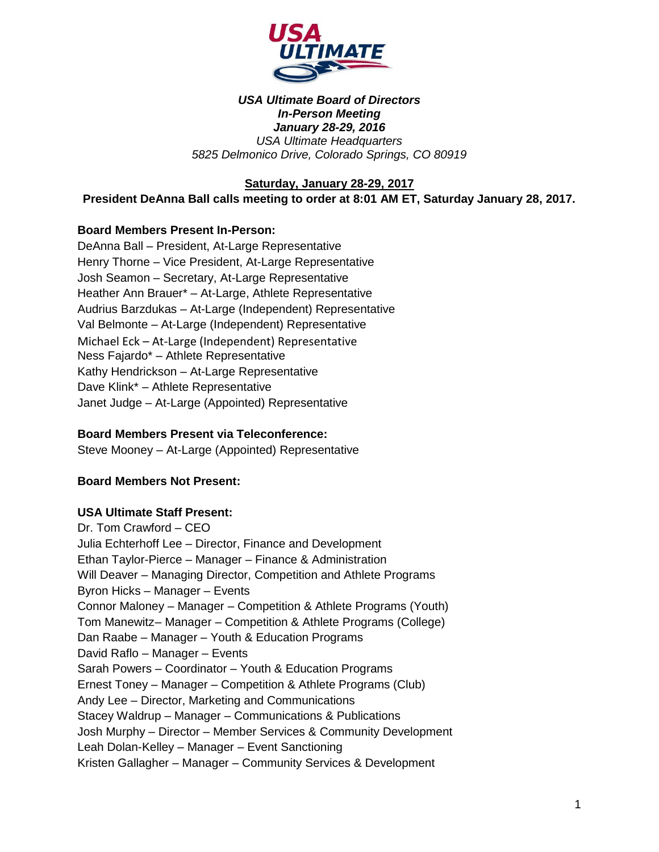

### *USA Ultimate Board of Directors In-Person Meeting January 28-29, 2016 USA Ultimate Headquarters 5825 Delmonico Drive, Colorado Springs, CO 80919*

**Saturday, January 28-29, 2017**

**President DeAnna Ball calls meeting to order at 8:01 AM ET, Saturday January 28, 2017.** 

### **Board Members Present In-Person:**

DeAnna Ball – President, At-Large Representative Henry Thorne – Vice President, At-Large Representative Josh Seamon – Secretary, At-Large Representative Heather Ann Brauer\* – At-Large, Athlete Representative Audrius Barzdukas – At-Large (Independent) Representative Val Belmonte – At-Large (Independent) Representative Michael Eck – At-Large (Independent) Representative Ness Fajardo\* – Athlete Representative Kathy Hendrickson – At-Large Representative Dave Klink\* – Athlete Representative Janet Judge – At-Large (Appointed) Representative

### **Board Members Present via Teleconference:**

Steve Mooney – At-Large (Appointed) Representative

### **Board Members Not Present:**

### **USA Ultimate Staff Present:**

Dr. Tom Crawford – CEO Julia Echterhoff Lee – Director, Finance and Development Ethan Taylor-Pierce – Manager – Finance & Administration Will Deaver – Managing Director, Competition and Athlete Programs Byron Hicks – Manager – Events Connor Maloney – Manager – Competition & Athlete Programs (Youth) Tom Manewitz– Manager – Competition & Athlete Programs (College) Dan Raabe – Manager – Youth & Education Programs David Raflo – Manager – Events Sarah Powers – Coordinator – Youth & Education Programs Ernest Toney – Manager – Competition & Athlete Programs (Club) Andy Lee – Director, Marketing and Communications Stacey Waldrup – Manager – Communications & Publications Josh Murphy – Director – Member Services & Community Development Leah Dolan-Kelley – Manager – Event Sanctioning Kristen Gallagher – Manager – Community Services & Development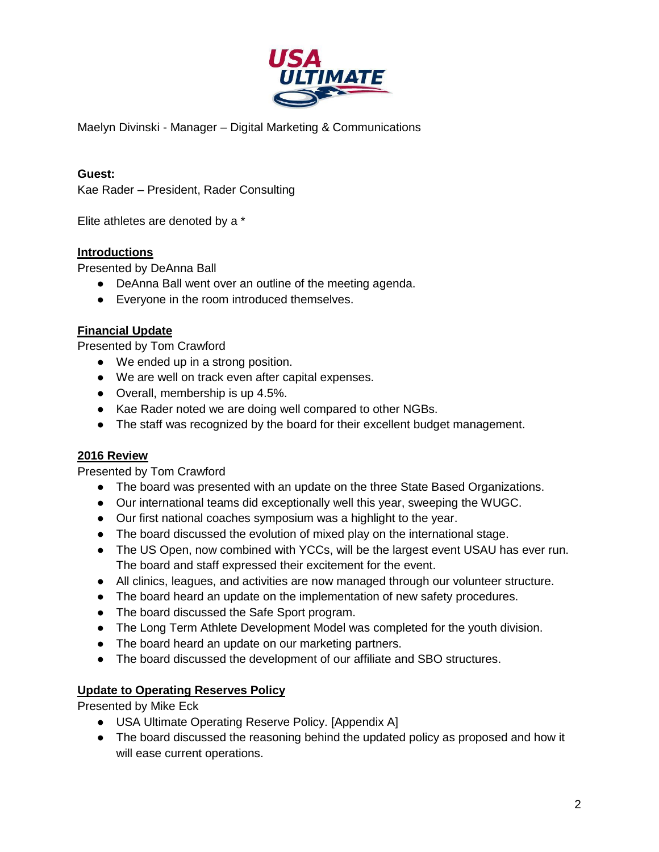

Maelyn Divinski - Manager – Digital Marketing & Communications

### **Guest:**

Kae Rader – President, Rader Consulting

Elite athletes are denoted by a \*

### **Introductions**

Presented by DeAnna Ball

- DeAnna Ball went over an outline of the meeting agenda.
- Everyone in the room introduced themselves.

### **Financial Update**

Presented by Tom Crawford

- We ended up in a strong position.
- We are well on track even after capital expenses.
- Overall, membership is up 4.5%.
- Kae Rader noted we are doing well compared to other NGBs.
- The staff was recognized by the board for their excellent budget management.

### **2016 Review**

Presented by Tom Crawford

- The board was presented with an update on the three State Based Organizations.
- Our international teams did exceptionally well this year, sweeping the WUGC.
- Our first national coaches symposium was a highlight to the year.
- The board discussed the evolution of mixed play on the international stage.
- The US Open, now combined with YCCs, will be the largest event USAU has ever run. The board and staff expressed their excitement for the event.
- All clinics, leagues, and activities are now managed through our volunteer structure.
- The board heard an update on the implementation of new safety procedures.
- The board discussed the Safe Sport program.
- The Long Term Athlete Development Model was completed for the youth division.
- The board heard an update on our marketing partners.
- The board discussed the development of our affiliate and SBO structures.

### **Update to Operating Reserves Policy**

Presented by Mike Eck

- USA Ultimate Operating Reserve Policy. [Appendix A]
- The board discussed the reasoning behind the updated policy as proposed and how it will ease current operations.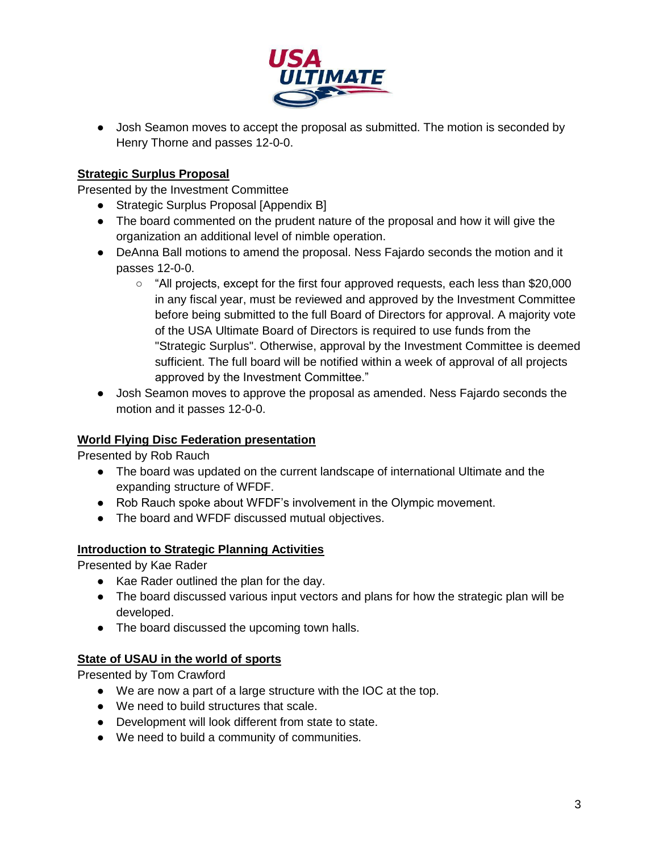

• Josh Seamon moves to accept the proposal as submitted. The motion is seconded by Henry Thorne and passes 12-0-0.

## **Strategic Surplus Proposal**

Presented by the Investment Committee

- Strategic Surplus Proposal [Appendix B]
- The board commented on the prudent nature of the proposal and how it will give the organization an additional level of nimble operation.
- DeAnna Ball motions to amend the proposal. Ness Fajardo seconds the motion and it passes 12-0-0.
	- "All projects, except for the first four approved requests, each less than \$20,000 in any fiscal year, must be reviewed and approved by the Investment Committee before being submitted to the full Board of Directors for approval. A majority vote of the USA Ultimate Board of Directors is required to use funds from the "Strategic Surplus". Otherwise, approval by the Investment Committee is deemed sufficient. The full board will be notified within a week of approval of all projects approved by the Investment Committee."
- Josh Seamon moves to approve the proposal as amended. Ness Fajardo seconds the motion and it passes 12-0-0.

## **World Flying Disc Federation presentation**

Presented by Rob Rauch

- The board was updated on the current landscape of international Ultimate and the expanding structure of WFDF.
- Rob Rauch spoke about WFDF's involvement in the Olympic movement.
- The board and WFDF discussed mutual objectives.

## **Introduction to Strategic Planning Activities**

Presented by Kae Rader

- Kae Rader outlined the plan for the day.
- The board discussed various input vectors and plans for how the strategic plan will be developed.
- The board discussed the upcoming town halls.

## **State of USAU in the world of sports**

Presented by Tom Crawford

- We are now a part of a large structure with the IOC at the top.
- We need to build structures that scale.
- Development will look different from state to state.
- We need to build a community of communities.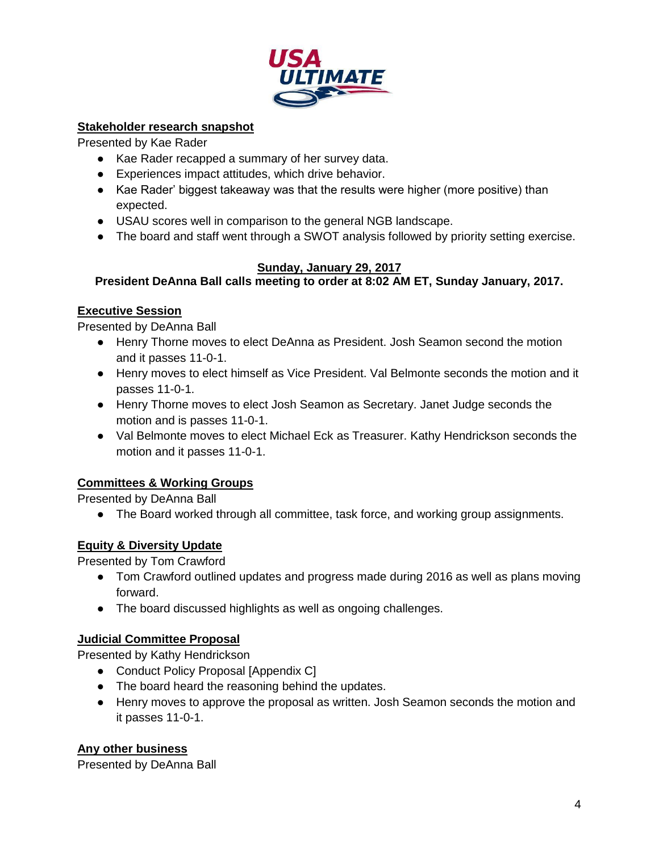

## **Stakeholder research snapshot**

Presented by Kae Rader

- Kae Rader recapped a summary of her survey data.
- Experiences impact attitudes, which drive behavior.
- Kae Rader' biggest takeaway was that the results were higher (more positive) than expected.
- USAU scores well in comparison to the general NGB landscape.
- The board and staff went through a SWOT analysis followed by priority setting exercise.

## **Sunday, January 29, 2017**

**President DeAnna Ball calls meeting to order at 8:02 AM ET, Sunday January, 2017.** 

## **Executive Session**

Presented by DeAnna Ball

- Henry Thorne moves to elect DeAnna as President. Josh Seamon second the motion and it passes 11-0-1.
- Henry moves to elect himself as Vice President. Val Belmonte seconds the motion and it passes 11-0-1.
- Henry Thorne moves to elect Josh Seamon as Secretary. Janet Judge seconds the motion and is passes 11-0-1.
- Val Belmonte moves to elect Michael Eck as Treasurer. Kathy Hendrickson seconds the motion and it passes 11-0-1.

## **Committees & Working Groups**

Presented by DeAnna Ball

● The Board worked through all committee, task force, and working group assignments.

## **Equity & Diversity Update**

Presented by Tom Crawford

- Tom Crawford outlined updates and progress made during 2016 as well as plans moving forward.
- The board discussed highlights as well as ongoing challenges.

## **Judicial Committee Proposal**

Presented by Kathy Hendrickson

- Conduct Policy Proposal [Appendix C]
- The board heard the reasoning behind the updates.
- Henry moves to approve the proposal as written. Josh Seamon seconds the motion and it passes 11-0-1.

## **Any other business**

Presented by DeAnna Ball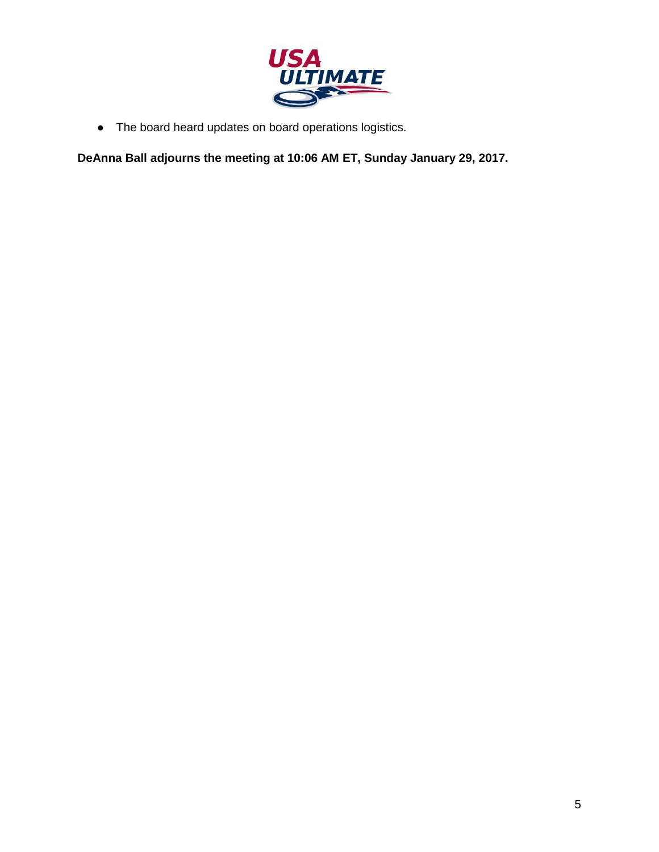

● The board heard updates on board operations logistics.

**DeAnna Ball adjourns the meeting at 10:06 AM ET, Sunday January 29, 2017.**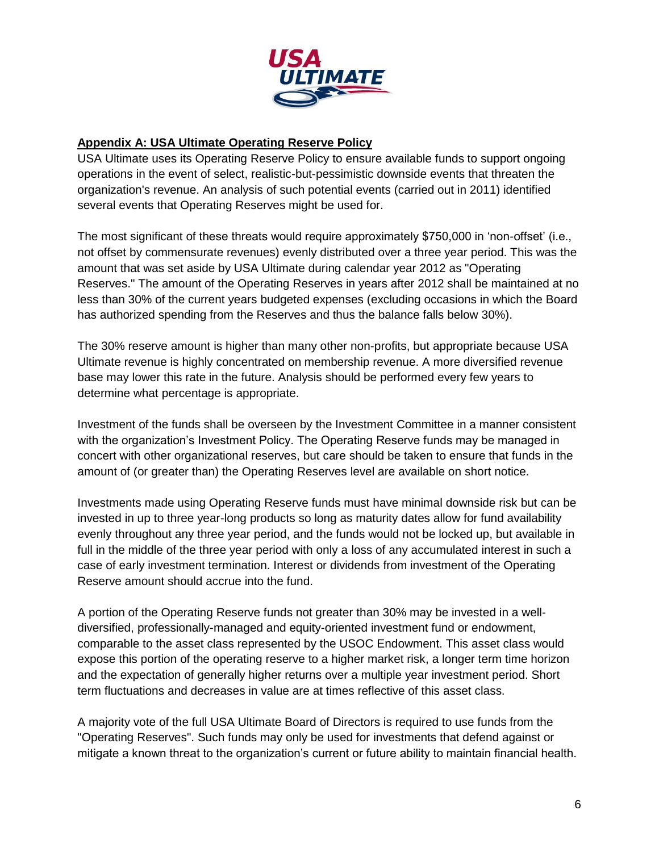

### **Appendix A: USA Ultimate Operating Reserve Policy**

USA Ultimate uses its Operating Reserve Policy to ensure available funds to support ongoing operations in the event of select, realistic-but-pessimistic downside events that threaten the organization's revenue. An analysis of such potential events (carried out in 2011) identified several events that Operating Reserves might be used for.

The most significant of these threats would require approximately \$750,000 in 'non-offset' (i.e., not offset by commensurate revenues) evenly distributed over a three year period. This was the amount that was set aside by USA Ultimate during calendar year 2012 as "Operating Reserves." The amount of the Operating Reserves in years after 2012 shall be maintained at no less than 30% of the current years budgeted expenses (excluding occasions in which the Board has authorized spending from the Reserves and thus the balance falls below 30%).

The 30% reserve amount is higher than many other non-profits, but appropriate because USA Ultimate revenue is highly concentrated on membership revenue. A more diversified revenue base may lower this rate in the future. Analysis should be performed every few years to determine what percentage is appropriate.

Investment of the funds shall be overseen by the Investment Committee in a manner consistent with the organization's Investment Policy. The Operating Reserve funds may be managed in concert with other organizational reserves, but care should be taken to ensure that funds in the amount of (or greater than) the Operating Reserves level are available on short notice.

Investments made using Operating Reserve funds must have minimal downside risk but can be invested in up to three year-long products so long as maturity dates allow for fund availability evenly throughout any three year period, and the funds would not be locked up, but available in full in the middle of the three year period with only a loss of any accumulated interest in such a case of early investment termination. Interest or dividends from investment of the Operating Reserve amount should accrue into the fund.

A portion of the Operating Reserve funds not greater than 30% may be invested in a welldiversified, professionally-managed and equity-oriented investment fund or endowment, comparable to the asset class represented by the USOC Endowment. This asset class would expose this portion of the operating reserve to a higher market risk, a longer term time horizon and the expectation of generally higher returns over a multiple year investment period. Short term fluctuations and decreases in value are at times reflective of this asset class.

A majority vote of the full USA Ultimate Board of Directors is required to use funds from the "Operating Reserves". Such funds may only be used for investments that defend against or mitigate a known threat to the organization's current or future ability to maintain financial health.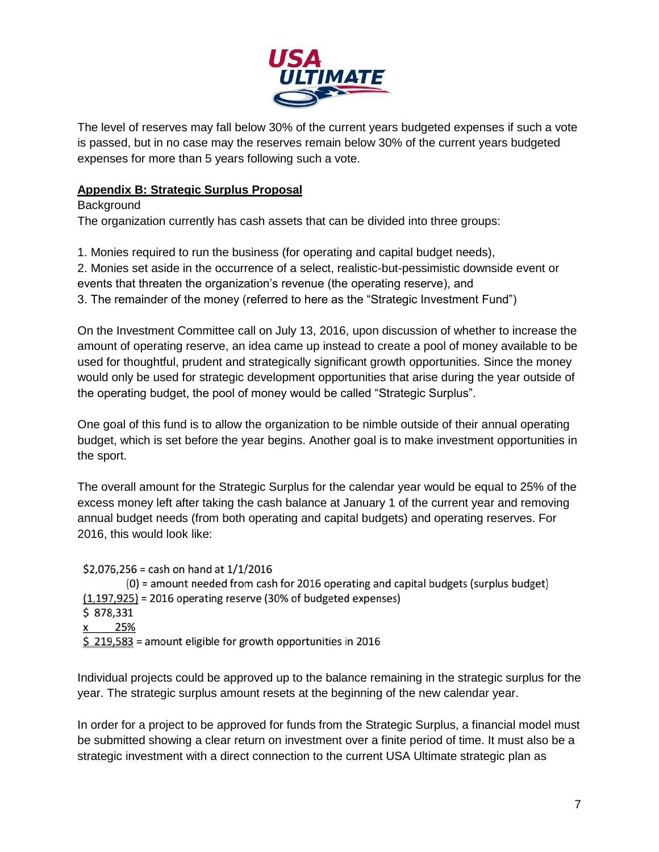

The level of reserves may fall below 30% of the current years budgeted expenses if such a vote is passed, but in no case may the reserves remain below 30% of the current years budgeted expenses for more than 5 years following such a vote.

## **Appendix B: Strategic Surplus Proposal**

### Background

The organization currently has cash assets that can be divided into three groups:

- 1. Monies required to run the business (for operating and capital budget needs),
- 2. Monies set aside in the occurrence of a select, realistic-but-pessimistic downside event or
- events that threaten the organization's revenue (the operating reserve), and
- 3. The remainder of the money (referred to here as the "Strategic Investment Fund")

On the Investment Committee call on July 13, 2016, upon discussion of whether to increase the amount of operating reserve, an idea came up instead to create a pool of money available to be used for thoughtful, prudent and strategically significant growth opportunities. Since the money would only be used for strategic development opportunities that arise during the year outside of the operating budget, the pool of money would be called "Strategic Surplus".

One goal of this fund is to allow the organization to be nimble outside of their annual operating budget, which is set before the year begins. Another goal is to make investment opportunities in the sport.

The overall amount for the Strategic Surplus for the calendar year would be equal to 25% of the excess money left after taking the cash balance at January 1 of the current year and removing annual budget needs (from both operating and capital budgets) and operating reserves. For 2016, this would look like:

\$2,076,256 = cash on hand at  $1/1/2016$ (0) = amount needed from cash for 2016 operating and capital budgets (surplus budget)  $(1,197,925)$  = 2016 operating reserve (30% of budgeted expenses) \$878,331 25% X  $\frac{219,583}{219,583}$  = amount eligible for growth opportunities in 2016

Individual projects could be approved up to the balance remaining in the strategic surplus for the year. The strategic surplus amount resets at the beginning of the new calendar year.

In order for a project to be approved for funds from the Strategic Surplus, a financial model must be submitted showing a clear return on investment over a finite period of time. It must also be a strategic investment with a direct connection to the current USA Ultimate strategic plan as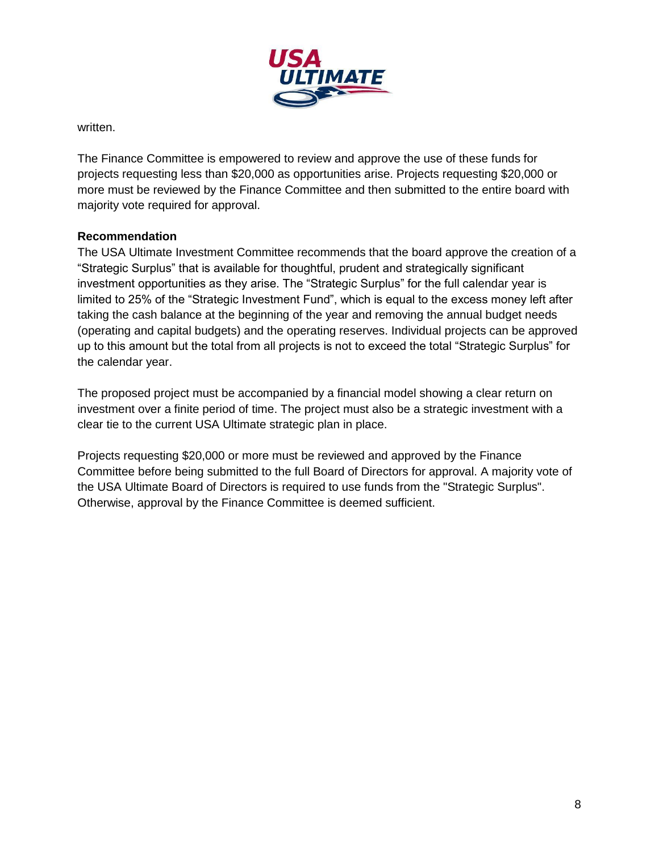

written.

The Finance Committee is empowered to review and approve the use of these funds for projects requesting less than \$20,000 as opportunities arise. Projects requesting \$20,000 or more must be reviewed by the Finance Committee and then submitted to the entire board with majority vote required for approval.

### **Recommendation**

The USA Ultimate Investment Committee recommends that the board approve the creation of a "Strategic Surplus" that is available for thoughtful, prudent and strategically significant investment opportunities as they arise. The "Strategic Surplus" for the full calendar year is limited to 25% of the "Strategic Investment Fund", which is equal to the excess money left after taking the cash balance at the beginning of the year and removing the annual budget needs (operating and capital budgets) and the operating reserves. Individual projects can be approved up to this amount but the total from all projects is not to exceed the total "Strategic Surplus" for the calendar year.

The proposed project must be accompanied by a financial model showing a clear return on investment over a finite period of time. The project must also be a strategic investment with a clear tie to the current USA Ultimate strategic plan in place.

Projects requesting \$20,000 or more must be reviewed and approved by the Finance Committee before being submitted to the full Board of Directors for approval. A majority vote of the USA Ultimate Board of Directors is required to use funds from the "Strategic Surplus". Otherwise, approval by the Finance Committee is deemed sufficient.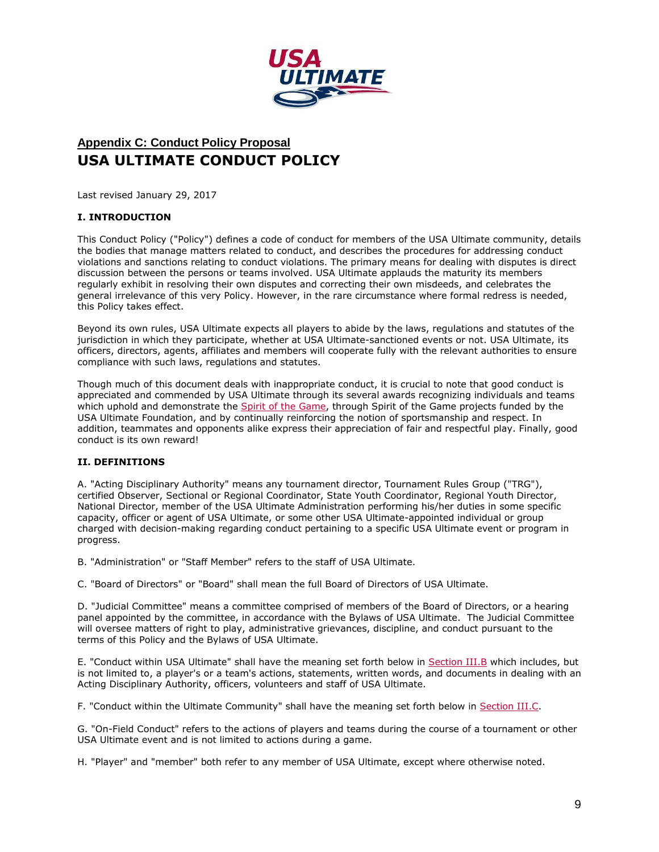

# **Appendix C: Conduct Policy Proposal USA ULTIMATE CONDUCT POLICY**

Last revised January 29, 2017

### **I. INTRODUCTION**

This Conduct Policy ("Policy") defines a code of conduct for members of the USA Ultimate community, details the bodies that manage matters related to conduct, and describes the procedures for addressing conduct violations and sanctions relating to conduct violations. The primary means for dealing with disputes is direct discussion between the persons or teams involved. USA Ultimate applauds the maturity its members regularly exhibit in resolving their own disputes and correcting their own misdeeds, and celebrates the general irrelevance of this very Policy. However, in the rare circumstance where formal redress is needed, this Policy takes effect.

Beyond its own rules, USA Ultimate expects all players to abide by the laws, regulations and statutes of the jurisdiction in which they participate, whether at USA Ultimate-sanctioned events or not. USA Ultimate, its officers, directors, agents, affiliates and members will cooperate fully with the relevant authorities to ensure compliance with such laws, regulations and statutes.

Though much of this document deals with inappropriate conduct, it is crucial to note that good conduct is appreciated and commended by USA Ultimate through its several awards recognizing individuals and teams which uphold and demonstrate the Spirit of the Game, through Spirit of the Game projects funded by the USA Ultimate Foundation, and by continually reinforcing the notion of sportsmanship and respect. In addition, teammates and opponents alike express their appreciation of fair and respectful play. Finally, good conduct is its own reward!

### **II. DEFINITIONS**

A. "Acting Disciplinary Authority" means any tournament director, Tournament Rules Group ("TRG"), certified Observer, Sectional or Regional Coordinator, State Youth Coordinator, Regional Youth Director, National Director, member of the USA Ultimate Administration performing his/her duties in some specific capacity, officer or agent of USA Ultimate, or some other USA Ultimate-appointed individual or group charged with decision-making regarding conduct pertaining to a specific USA Ultimate event or program in progress.

B. "Administration" or "Staff Member" refers to the staff of USA Ultimate.

C. "Board of Directors" or "Board" shall mean the full Board of Directors of USA Ultimate.

D. "Judicial Committee" means a committee comprised of members of the Board of Directors, or a hearing panel appointed by the committee, in accordance with the Bylaws of USA Ultimate. The Judicial Committee will oversee matters of right to play, administrative grievances, discipline, and conduct pursuant to the terms of this Policy and the Bylaws of USA Ultimate.

E. "Conduct within USA Ultimate" shall have the meaning set forth below in [Section III.B](http://www.usaultimate.org/about/usaultimate/governance/conduct.aspx#IIIB) which includes, but is not limited to, a player's or a team's actions, statements, written words, and documents in dealing with an Acting Disciplinary Authority, officers, volunteers and staff of USA Ultimate.

F. "Conduct within the Ultimate Community" shall have the meaning set forth below in [Section III.C.](http://www.usaultimate.org/about/usaultimate/governance/conduct.aspx#IIIC)

G. "On-Field Conduct" refers to the actions of players and teams during the course of a tournament or other USA Ultimate event and is not limited to actions during a game.

H. "Player" and "member" both refer to any member of USA Ultimate, except where otherwise noted.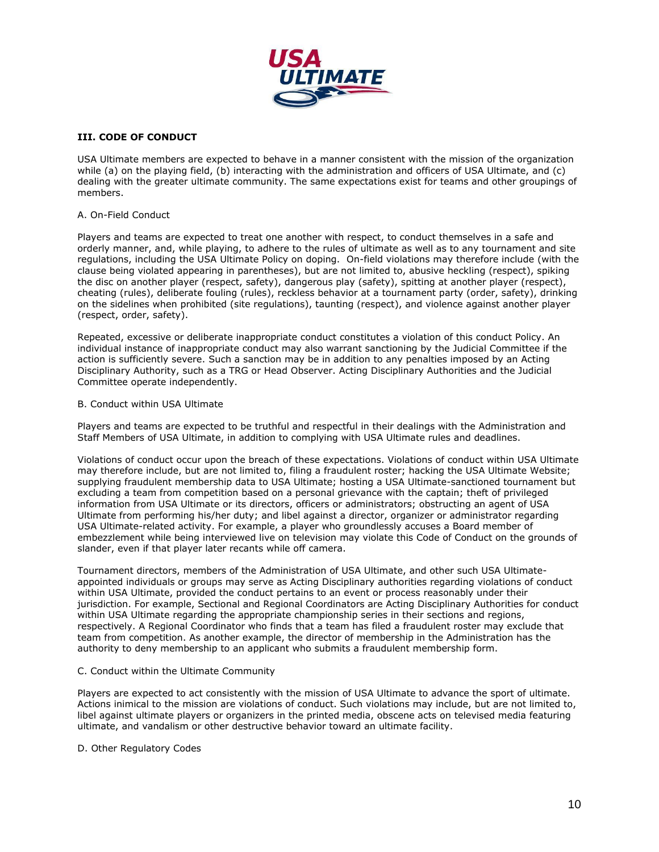

### **III. CODE OF CONDUCT**

USA Ultimate members are expected to behave in a manner consistent with the mission of the organization while (a) on the playing field, (b) interacting with the administration and officers of USA Ultimate, and (c) dealing with the greater ultimate community. The same expectations exist for teams and other groupings of members.

#### A. On-Field Conduct

Players and teams are expected to treat one another with respect, to conduct themselves in a safe and orderly manner, and, while playing, to adhere to the rules of ultimate as well as to any tournament and site regulations, including the USA Ultimate Policy on doping. On-field violations may therefore include (with the clause being violated appearing in parentheses), but are not limited to, abusive heckling (respect), spiking the disc on another player (respect, safety), dangerous play (safety), spitting at another player (respect), cheating (rules), deliberate fouling (rules), reckless behavior at a tournament party (order, safety), drinking on the sidelines when prohibited (site regulations), taunting (respect), and violence against another player (respect, order, safety).

Repeated, excessive or deliberate inappropriate conduct constitutes a violation of this conduct Policy. An individual instance of inappropriate conduct may also warrant sanctioning by the Judicial Committee if the action is sufficiently severe. Such a sanction may be in addition to any penalties imposed by an Acting Disciplinary Authority, such as a TRG or Head Observer. Acting Disciplinary Authorities and the Judicial Committee operate independently.

#### B. Conduct within USA Ultimate

Players and teams are expected to be truthful and respectful in their dealings with the Administration and Staff Members of USA Ultimate, in addition to complying with USA Ultimate rules and deadlines.

Violations of conduct occur upon the breach of these expectations. Violations of conduct within USA Ultimate may therefore include, but are not limited to, filing a fraudulent roster; hacking the USA Ultimate Website; supplying fraudulent membership data to USA Ultimate; hosting a USA Ultimate-sanctioned tournament but excluding a team from competition based on a personal grievance with the captain; theft of privileged information from USA Ultimate or its directors, officers or administrators; obstructing an agent of USA Ultimate from performing his/her duty; and libel against a director, organizer or administrator regarding USA Ultimate-related activity. For example, a player who groundlessly accuses a Board member of embezzlement while being interviewed live on television may violate this Code of Conduct on the grounds of slander, even if that player later recants while off camera.

Tournament directors, members of the Administration of USA Ultimate, and other such USA Ultimateappointed individuals or groups may serve as Acting Disciplinary authorities regarding violations of conduct within USA Ultimate, provided the conduct pertains to an event or process reasonably under their jurisdiction. For example, Sectional and Regional Coordinators are Acting Disciplinary Authorities for conduct within USA Ultimate regarding the appropriate championship series in their sections and regions, respectively. A Regional Coordinator who finds that a team has filed a fraudulent roster may exclude that team from competition. As another example, the director of membership in the Administration has the authority to deny membership to an applicant who submits a fraudulent membership form.

#### C. Conduct within the Ultimate Community

Players are expected to act consistently with the mission of USA Ultimate to advance the sport of ultimate. Actions inimical to the mission are violations of conduct. Such violations may include, but are not limited to, libel against ultimate players or organizers in the printed media, obscene acts on televised media featuring ultimate, and vandalism or other destructive behavior toward an ultimate facility.

#### D. Other Regulatory Codes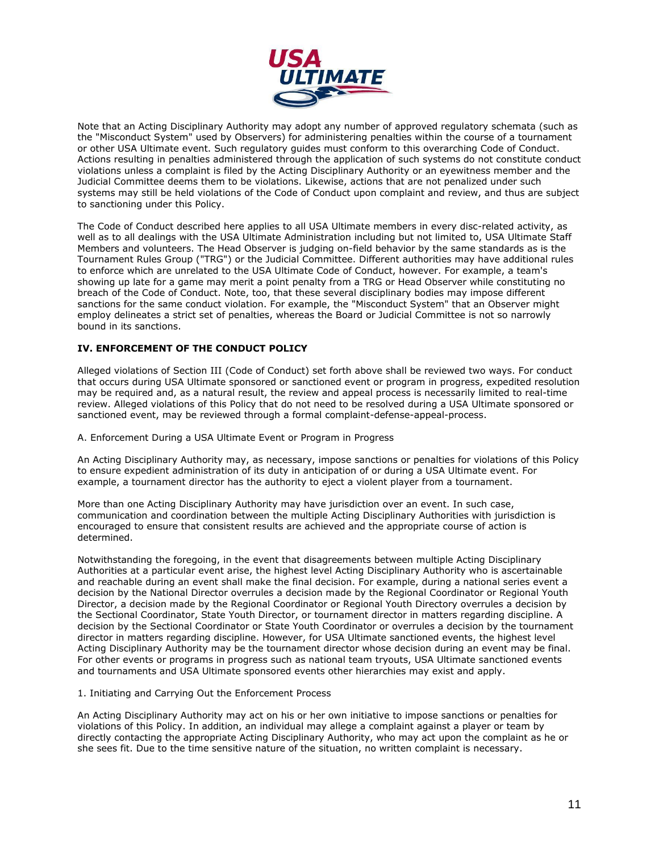

Note that an Acting Disciplinary Authority may adopt any number of approved regulatory schemata (such as the "Misconduct System" used by Observers) for administering penalties within the course of a tournament or other USA Ultimate event. Such regulatory guides must conform to this overarching Code of Conduct. Actions resulting in penalties administered through the application of such systems do not constitute conduct violations unless a complaint is filed by the Acting Disciplinary Authority or an eyewitness member and the Judicial Committee deems them to be violations. Likewise, actions that are not penalized under such systems may still be held violations of the Code of Conduct upon complaint and review, and thus are subject to sanctioning under this Policy.

The Code of Conduct described here applies to all USA Ultimate members in every disc-related activity, as well as to all dealings with the USA Ultimate Administration including but not limited to, USA Ultimate Staff Members and volunteers. The Head Observer is judging on-field behavior by the same standards as is the Tournament Rules Group ("TRG") or the Judicial Committee. Different authorities may have additional rules to enforce which are unrelated to the USA Ultimate Code of Conduct, however. For example, a team's showing up late for a game may merit a point penalty from a TRG or Head Observer while constituting no breach of the Code of Conduct. Note, too, that these several disciplinary bodies may impose different sanctions for the same conduct violation. For example, the "Misconduct System" that an Observer might employ delineates a strict set of penalties, whereas the Board or Judicial Committee is not so narrowly bound in its sanctions.

### **IV. ENFORCEMENT OF THE CONDUCT POLICY**

Alleged violations of Section III (Code of Conduct) set forth above shall be reviewed two ways. For conduct that occurs during USA Ultimate sponsored or sanctioned event or program in progress, expedited resolution may be required and, as a natural result, the review and appeal process is necessarily limited to real-time review. Alleged violations of this Policy that do not need to be resolved during a USA Ultimate sponsored or sanctioned event, may be reviewed through a formal complaint-defense-appeal-process.

A. Enforcement During a USA Ultimate Event or Program in Progress

An Acting Disciplinary Authority may, as necessary, impose sanctions or penalties for violations of this Policy to ensure expedient administration of its duty in anticipation of or during a USA Ultimate event. For example, a tournament director has the authority to eject a violent player from a tournament.

More than one Acting Disciplinary Authority may have jurisdiction over an event. In such case, communication and coordination between the multiple Acting Disciplinary Authorities with jurisdiction is encouraged to ensure that consistent results are achieved and the appropriate course of action is determined.

Notwithstanding the foregoing, in the event that disagreements between multiple Acting Disciplinary Authorities at a particular event arise, the highest level Acting Disciplinary Authority who is ascertainable and reachable during an event shall make the final decision. For example, during a national series event a decision by the National Director overrules a decision made by the Regional Coordinator or Regional Youth Director, a decision made by the Regional Coordinator or Regional Youth Directory overrules a decision by the Sectional Coordinator, State Youth Director, or tournament director in matters regarding discipline. A decision by the Sectional Coordinator or State Youth Coordinator or overrules a decision by the tournament director in matters regarding discipline. However, for USA Ultimate sanctioned events, the highest level Acting Disciplinary Authority may be the tournament director whose decision during an event may be final. For other events or programs in progress such as national team tryouts, USA Ultimate sanctioned events and tournaments and USA Ultimate sponsored events other hierarchies may exist and apply.

1. Initiating and Carrying Out the Enforcement Process

An Acting Disciplinary Authority may act on his or her own initiative to impose sanctions or penalties for violations of this Policy. In addition, an individual may allege a complaint against a player or team by directly contacting the appropriate Acting Disciplinary Authority, who may act upon the complaint as he or she sees fit. Due to the time sensitive nature of the situation, no written complaint is necessary.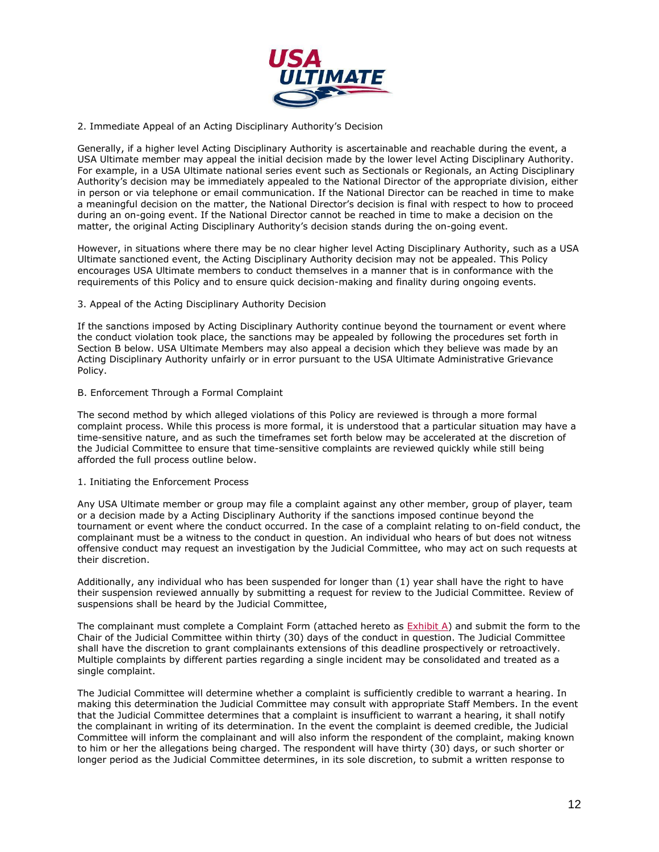

2. Immediate Appeal of an Acting Disciplinary Authority's Decision

Generally, if a higher level Acting Disciplinary Authority is ascertainable and reachable during the event, a USA Ultimate member may appeal the initial decision made by the lower level Acting Disciplinary Authority. For example, in a USA Ultimate national series event such as Sectionals or Regionals, an Acting Disciplinary Authority's decision may be immediately appealed to the National Director of the appropriate division, either in person or via telephone or email communication. If the National Director can be reached in time to make a meaningful decision on the matter, the National Director's decision is final with respect to how to proceed during an on-going event. If the National Director cannot be reached in time to make a decision on the matter, the original Acting Disciplinary Authority's decision stands during the on-going event.

However, in situations where there may be no clear higher level Acting Disciplinary Authority, such as a USA Ultimate sanctioned event, the Acting Disciplinary Authority decision may not be appealed. This Policy encourages USA Ultimate members to conduct themselves in a manner that is in conformance with the requirements of this Policy and to ensure quick decision-making and finality during ongoing events.

3. Appeal of the Acting Disciplinary Authority Decision

If the sanctions imposed by Acting Disciplinary Authority continue beyond the tournament or event where the conduct violation took place, the sanctions may be appealed by following the procedures set forth in Section B below. USA Ultimate Members may also appeal a decision which they believe was made by an Acting Disciplinary Authority unfairly or in error pursuant to the USA Ultimate Administrative Grievance Policy.

B. Enforcement Through a Formal Complaint

The second method by which alleged violations of this Policy are reviewed is through a more formal complaint process. While this process is more formal, it is understood that a particular situation may have a time-sensitive nature, and as such the timeframes set forth below may be accelerated at the discretion of the Judicial Committee to ensure that time-sensitive complaints are reviewed quickly while still being afforded the full process outline below.

1. Initiating the Enforcement Process

Any USA Ultimate member or group may file a complaint against any other member, group of player, team or a decision made by a Acting Disciplinary Authority if the sanctions imposed continue beyond the tournament or event where the conduct occurred. In the case of a complaint relating to on-field conduct, the complainant must be a witness to the conduct in question. An individual who hears of but does not witness offensive conduct may request an investigation by the Judicial Committee, who may act on such requests at their discretion.

Additionally, any individual who has been suspended for longer than (1) year shall have the right to have their suspension reviewed annually by submitting a request for review to the Judicial Committee. Review of suspensions shall be heard by the Judicial Committee,

The complainant must complete a Complaint Form (attached hereto as  $\frac{\text{Exhibit A}}{\text{A}}$ ) and submit the form to the Chair of the Judicial Committee within thirty (30) days of the conduct in question. The Judicial Committee shall have the discretion to grant complainants extensions of this deadline prospectively or retroactively. Multiple complaints by different parties regarding a single incident may be consolidated and treated as a single complaint.

The Judicial Committee will determine whether a complaint is sufficiently credible to warrant a hearing. In making this determination the Judicial Committee may consult with appropriate Staff Members. In the event that the Judicial Committee determines that a complaint is insufficient to warrant a hearing, it shall notify the complainant in writing of its determination. In the event the complaint is deemed credible, the Judicial Committee will inform the complainant and will also inform the respondent of the complaint, making known to him or her the allegations being charged. The respondent will have thirty (30) days, or such shorter or longer period as the Judicial Committee determines, in its sole discretion, to submit a written response to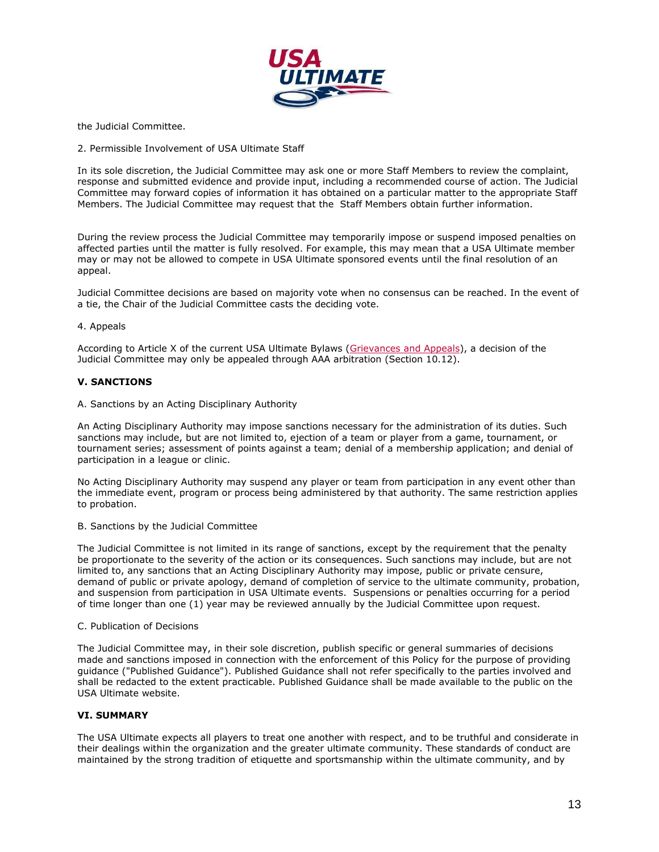

the Judicial Committee.

2. Permissible Involvement of USA Ultimate Staff

In its sole discretion, the Judicial Committee may ask one or more Staff Members to review the complaint, response and submitted evidence and provide input, including a recommended course of action. The Judicial Committee may forward copies of information it has obtained on a particular matter to the appropriate Staff Members. The Judicial Committee may request that the Staff Members obtain further information.

During the review process the Judicial Committee may temporarily impose or suspend imposed penalties on affected parties until the matter is fully resolved. For example, this may mean that a USA Ultimate member may or may not be allowed to compete in USA Ultimate sponsored events until the final resolution of an appeal.

Judicial Committee decisions are based on majority vote when no consensus can be reached. In the event of a tie, the Chair of the Judicial Committee casts the deciding vote.

#### 4. Appeals

According to Article X of the current USA Ultimate Bylaws (Grievances and Appeals), a decision of the Judicial Committee may only be appealed through AAA arbitration (Section 10.12).

### **V. SANCTIONS**

A. Sanctions by an Acting Disciplinary Authority

An Acting Disciplinary Authority may impose sanctions necessary for the administration of its duties. Such sanctions may include, but are not limited to, ejection of a team or player from a game, tournament, or tournament series; assessment of points against a team; denial of a membership application; and denial of participation in a league or clinic.

No Acting Disciplinary Authority may suspend any player or team from participation in any event other than the immediate event, program or process being administered by that authority. The same restriction applies to probation.

B. Sanctions by the Judicial Committee

The Judicial Committee is not limited in its range of sanctions, except by the requirement that the penalty be proportionate to the severity of the action or its consequences. Such sanctions may include, but are not limited to, any sanctions that an Acting Disciplinary Authority may impose, public or private censure, demand of public or private apology, demand of completion of service to the ultimate community, probation, and suspension from participation in USA Ultimate events. Suspensions or penalties occurring for a period of time longer than one (1) year may be reviewed annually by the Judicial Committee upon request.

#### C. Publication of Decisions

The Judicial Committee may, in their sole discretion, publish specific or general summaries of decisions made and sanctions imposed in connection with the enforcement of this Policy for the purpose of providing guidance ("Published Guidance"). Published Guidance shall not refer specifically to the parties involved and shall be redacted to the extent practicable. Published Guidance shall be made available to the public on the USA Ultimate website.

#### **VI. SUMMARY**

The USA Ultimate expects all players to treat one another with respect, and to be truthful and considerate in their dealings within the organization and the greater ultimate community. These standards of conduct are maintained by the strong tradition of etiquette and sportsmanship within the ultimate community, and by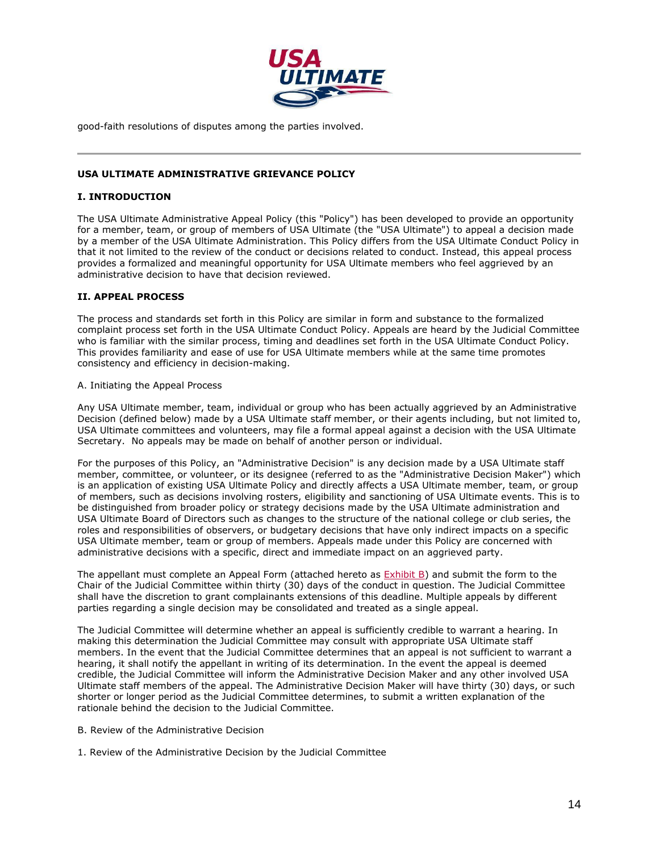

good-faith resolutions of disputes among the parties involved.

### **USA ULTIMATE ADMINISTRATIVE GRIEVANCE POLICY**

#### **I. INTRODUCTION**

The USA Ultimate Administrative Appeal Policy (this "Policy") has been developed to provide an opportunity for a member, team, or group of members of USA Ultimate (the "USA Ultimate") to appeal a decision made by a member of the USA Ultimate Administration. This Policy differs from the USA Ultimate Conduct Policy in that it not limited to the review of the conduct or decisions related to conduct. Instead, this appeal process provides a formalized and meaningful opportunity for USA Ultimate members who feel aggrieved by an administrative decision to have that decision reviewed.

#### **II. APPEAL PROCESS**

The process and standards set forth in this Policy are similar in form and substance to the formalized complaint process set forth in the USA Ultimate Conduct Policy. Appeals are heard by the Judicial Committee who is familiar with the similar process, timing and deadlines set forth in the USA Ultimate Conduct Policy. This provides familiarity and ease of use for USA Ultimate members while at the same time promotes consistency and efficiency in decision-making.

#### A. Initiating the Appeal Process

Any USA Ultimate member, team, individual or group who has been actually aggrieved by an Administrative Decision (defined below) made by a USA Ultimate staff member, or their agents including, but not limited to, USA Ultimate committees and volunteers, may file a formal appeal against a decision with the USA Ultimate Secretary. No appeals may be made on behalf of another person or individual.

For the purposes of this Policy, an "Administrative Decision" is any decision made by a USA Ultimate staff member, committee, or volunteer, or its designee (referred to as the "Administrative Decision Maker") which is an application of existing USA Ultimate Policy and directly affects a USA Ultimate member, team, or group of members, such as decisions involving rosters, eligibility and sanctioning of USA Ultimate events. This is to be distinguished from broader policy or strategy decisions made by the USA Ultimate administration and USA Ultimate Board of Directors such as changes to the structure of the national college or club series, the roles and responsibilities of observers, or budgetary decisions that have only indirect impacts on a specific USA Ultimate member, team or group of members. Appeals made under this Policy are concerned with administrative decisions with a specific, direct and immediate impact on an aggrieved party.

The appellant must complete an Appeal Form (attached hereto as Exhibit B) and submit the form to the Chair of the Judicial Committee within thirty (30) days of the conduct in question. The Judicial Committee shall have the discretion to grant complainants extensions of this deadline. Multiple appeals by different parties regarding a single decision may be consolidated and treated as a single appeal.

The Judicial Committee will determine whether an appeal is sufficiently credible to warrant a hearing. In making this determination the Judicial Committee may consult with appropriate USA Ultimate staff members. In the event that the Judicial Committee determines that an appeal is not sufficient to warrant a hearing, it shall notify the appellant in writing of its determination. In the event the appeal is deemed credible, the Judicial Committee will inform the Administrative Decision Maker and any other involved USA Ultimate staff members of the appeal. The Administrative Decision Maker will have thirty (30) days, or such shorter or longer period as the Judicial Committee determines, to submit a written explanation of the rationale behind the decision to the Judicial Committee.

- B. Review of the Administrative Decision
- 1. Review of the Administrative Decision by the Judicial Committee